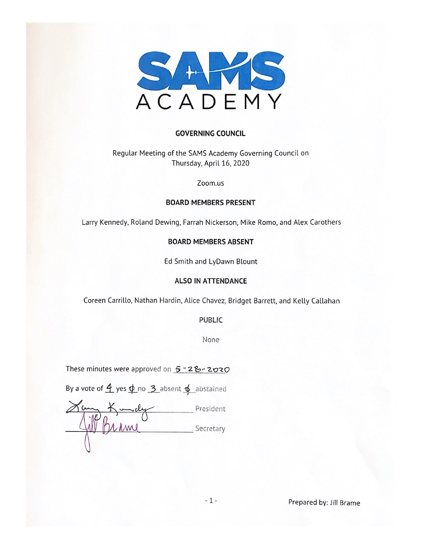

#### **GOVERNING COUNCIL**

Regular Meeting of the SAMS Academy Governing Council on Thursday, April 16, 2020

Zoom.us

#### **BOARD MEMBERS PRESENT**

Larry Kennedy, Roland Dewing, Farrah Nickerson, Mike Romo, and Alex Carothers

#### **BOARD MEMBERS ABSENT**

Ed Smith and LyDawn Blount

#### **ALSO IN ATTENDANCE**

Coreen Carrillo, Nathan Hardin, Alice Chavez, Bridget Barrett, and Kelly Callahan

**PUBLIC** 

None

These minutes were approved on 5-28-2020

By a vote of  $\frac{4}{5}$  yes  $\phi$  no  $\frac{3}{5}$  absent  $\phi$  abstained

President Secretary

Prepared by: Jill Brame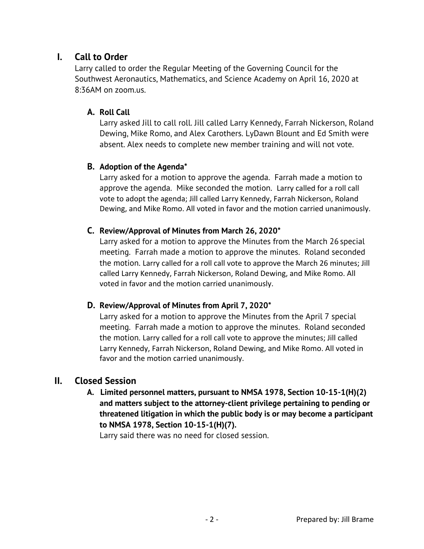# **I. Call to Order**

Larry called to order the Regular Meeting of the Governing Council for the Southwest Aeronautics, Mathematics, and Science Academy on April 16, 2020 at 8:36AM on zoom.us.

#### **A. Roll Call**

Larry asked Jill to call roll. Jill called Larry Kennedy, Farrah Nickerson, Roland Dewing, Mike Romo, and Alex Carothers. LyDawn Blount and Ed Smith were absent. Alex needs to complete new member training and will not vote.

### **B. Adoption of the Agenda\***

Larry asked for a motion to approve the agenda. Farrah made a motion to approve the agenda. Mike seconded the motion. Larry called for a roll call vote to adopt the agenda; Jill called Larry Kennedy, Farrah Nickerson, Roland Dewing, and Mike Romo. All voted in favor and the motion carried unanimously.

### **C. Review/Approval of Minutes from March 26, 2020\***

Larry asked for a motion to approve the Minutes from the March 26 special meeting. Farrah made a motion to approve the minutes. Roland seconded the motion. Larry called for a roll call vote to approve the March 26 minutes; Jill called Larry Kennedy, Farrah Nickerson, Roland Dewing, and Mike Romo. All voted in favor and the motion carried unanimously.

#### **D. Review/Approval of Minutes from April 7, 2020\***

Larry asked for a motion to approve the Minutes from the April 7 special meeting. Farrah made a motion to approve the minutes. Roland seconded the motion. Larry called for a roll call vote to approve the minutes; Jill called Larry Kennedy, Farrah Nickerson, Roland Dewing, and Mike Romo. All voted in favor and the motion carried unanimously.

# **II. Closed Session**

 **A. Limited personnel matters, pursuant to NMSA 1978, Section 10-15-1(H)(2) and matters subject to the attorney-client privilege pertaining to pending or threatened litigation in which the public body is or may become a participant to NMSA 1978, Section 10-15-1(H)(7).** 

Larry said there was no need for closed session.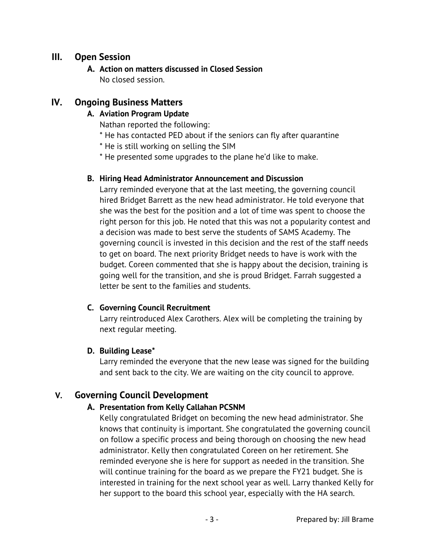# **III. Open Session**

**A. Action on matters discussed in Closed Session** No closed session.

# **IV. Ongoing Business Matters**

# **A. Aviation Program Update**

Nathan reported the following:

- \* He has contacted PED about if the seniors can fly after quarantine
- \* He is still working on selling the SIM
- \* He presented some upgrades to the plane he'd like to make.

### **B. Hiring Head Administrator Announcement and Discussion**

Larry reminded everyone that at the last meeting, the governing council hired Bridget Barrett as the new head administrator. He told everyone that she was the best for the position and a lot of time was spent to choose the right person for this job. He noted that this was not a popularity contest and a decision was made to best serve the students of SAMS Academy. The governing council is invested in this decision and the rest of the staff needs to get on board. The next priority Bridget needs to have is work with the budget. Coreen commented that she is happy about the decision, training is going well for the transition, and she is proud Bridget. Farrah suggested a letter be sent to the families and students.

# **C. Governing Council Recruitment**

Larry reintroduced Alex Carothers. Alex will be completing the training by next regular meeting.

# **D. Building Lease\***

Larry reminded the everyone that the new lease was signed for the building and sent back to the city. We are waiting on the city council to approve.

# **V. Governing Council Development**

# **A. Presentation from Kelly Callahan PCSNM**

Kelly congratulated Bridget on becoming the new head administrator. She knows that continuity is important. She congratulated the governing council on follow a specific process and being thorough on choosing the new head administrator. Kelly then congratulated Coreen on her retirement. She reminded everyone she is here for support as needed in the transition. She will continue training for the board as we prepare the FY21 budget. She is interested in training for the next school year as well. Larry thanked Kelly for her support to the board this school year, especially with the HA search.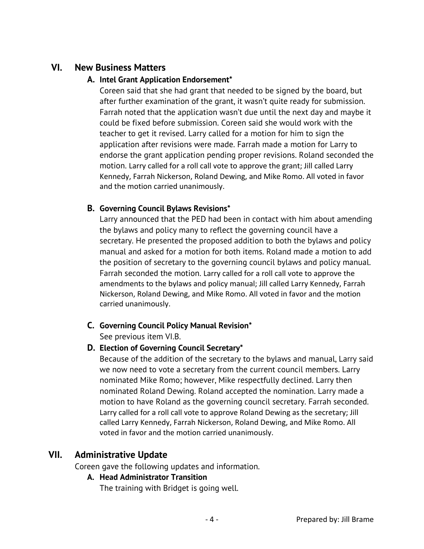# **VI. New Business Matters**

#### **A. Intel Grant Application Endorsement\***

Coreen said that she had grant that needed to be signed by the board, but after further examination of the grant, it wasn't quite ready for submission. Farrah noted that the application wasn't due until the next day and maybe it could be fixed before submission. Coreen said she would work with the teacher to get it revised. Larry called for a motion for him to sign the application after revisions were made. Farrah made a motion for Larry to endorse the grant application pending proper revisions. Roland seconded the motion. Larry called for a roll call vote to approve the grant; Jill called Larry Kennedy, Farrah Nickerson, Roland Dewing, and Mike Romo. All voted in favor and the motion carried unanimously.

### **B. Governing Council Bylaws Revisions\***

Larry announced that the PED had been in contact with him about amending the bylaws and policy many to reflect the governing council have a secretary. He presented the proposed addition to both the bylaws and policy manual and asked for a motion for both items. Roland made a motion to add the position of secretary to the governing council bylaws and policy manual. Farrah seconded the motion. Larry called for a roll call vote to approve the amendments to the bylaws and policy manual; Jill called Larry Kennedy, Farrah Nickerson, Roland Dewing, and Mike Romo. All voted in favor and the motion carried unanimously.

# **C. Governing Council Policy Manual Revision\***

See previous item VI.B.

# **D. Election of Governing Council Secretary\***

Because of the addition of the secretary to the bylaws and manual, Larry said we now need to vote a secretary from the current council members. Larry nominated Mike Romo; however, Mike respectfully declined. Larry then nominated Roland Dewing. Roland accepted the nomination. Larry made a motion to have Roland as the governing council secretary. Farrah seconded. Larry called for a roll call vote to approve Roland Dewing as the secretary; Jill called Larry Kennedy, Farrah Nickerson, Roland Dewing, and Mike Romo. All voted in favor and the motion carried unanimously.

# **VII. Administrative Update**

Coreen gave the following updates and information.

# **A. Head Administrator Transition**

The training with Bridget is going well.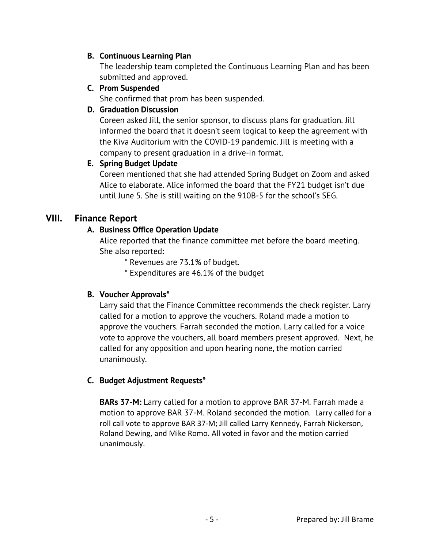### **B. Continuous Learning Plan**

The leadership team completed the Continuous Learning Plan and has been submitted and approved.

**C. Prom Suspended** 

She confirmed that prom has been suspended.

# **D. Graduation Discussion**

Coreen asked Jill, the senior sponsor, to discuss plans for graduation. Jill informed the board that it doesn't seem logical to keep the agreement with the Kiva Auditorium with the COVID-19 pandemic. Jill is meeting with a company to present graduation in a drive-in format.

# **E. Spring Budget Update**

Coreen mentioned that she had attended Spring Budget on Zoom and asked Alice to elaborate. Alice informed the board that the FY21 budget isn't due until June 5. She is still waiting on the 910B-5 for the school's SEG.

# **VIII. Finance Report**

# **A. Business Office Operation Update**

Alice reported that the finance committee met before the board meeting. She also reported:

- \* Revenues are 73.1% of budget.
- \* Expenditures are 46.1% of the budget

# **B. Voucher Approvals\***

Larry said that the Finance Committee recommends the check register. Larry called for a motion to approve the vouchers. Roland made a motion to approve the vouchers. Farrah seconded the motion. Larry called for a voice vote to approve the vouchers, all board members present approved. Next, he called for any opposition and upon hearing none, the motion carried unanimously.

# **C. Budget Adjustment Requests\***

**BARs 37-M:** Larry called for a motion to approve BAR 37-M. Farrah made a motion to approve BAR 37-M. Roland seconded the motion. Larry called for a roll call vote to approve BAR 37-M; Jill called Larry Kennedy, Farrah Nickerson, Roland Dewing, and Mike Romo. All voted in favor and the motion carried unanimously.